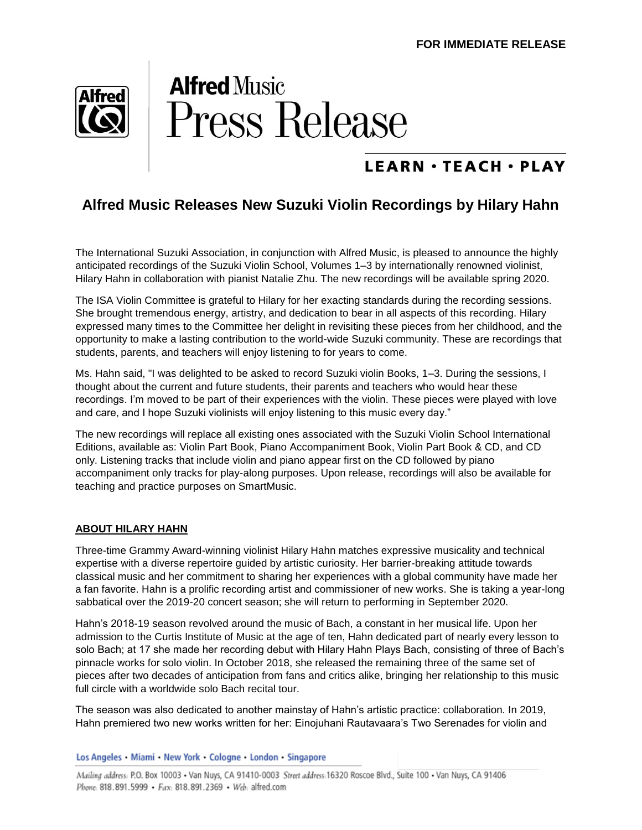

## **Alfred Music Press Release**

### **LEARN · TEACH · PLAY**

#### **Alfred Music Releases New Suzuki Violin Recordings by Hilary Hahn**

The International Suzuki Association, in conjunction with Alfred Music, is pleased to announce the highly anticipated recordings of the Suzuki Violin School, Volumes 1–3 by internationally renowned violinist, Hilary Hahn in collaboration with pianist Natalie Zhu. The new recordings will be available spring 2020.

The ISA Violin Committee is grateful to Hilary for her exacting standards during the recording sessions. She brought tremendous energy, artistry, and dedication to bear in all aspects of this recording. Hilary expressed many times to the Committee her delight in revisiting these pieces from her childhood, and the opportunity to make a lasting contribution to the world-wide Suzuki community. These are recordings that students, parents, and teachers will enjoy listening to for years to come.

Ms. Hahn said, "I was delighted to be asked to record Suzuki violin Books, 1–3. During the sessions, I thought about the current and future students, their parents and teachers who would hear these recordings. I'm moved to be part of their experiences with the violin. These pieces were played with love and care, and I hope Suzuki violinists will enjoy listening to this music every day."

The new recordings will replace all existing ones associated with the Suzuki Violin School International Editions, available as: Violin Part Book, Piano Accompaniment Book, Violin Part Book & CD, and CD only. Listening tracks that include violin and piano appear first on the CD followed by piano accompaniment only tracks for play-along purposes. Upon release, recordings will also be available for teaching and practice purposes on SmartMusic.

#### **ABOUT HILARY HAHN**

Three-time Grammy Award-winning violinist Hilary Hahn matches expressive musicality and technical expertise with a diverse repertoire guided by artistic curiosity. Her barrier-breaking attitude towards classical music and her commitment to sharing her experiences with a global community have made her a fan favorite. Hahn is a prolific recording artist and commissioner of new works. She is taking a year-long sabbatical over the 2019-20 concert season; she will return to performing in September 2020.

Hahn's 2018-19 season revolved around the music of Bach, a constant in her musical life. Upon her admission to the Curtis Institute of Music at the age of ten, Hahn dedicated part of nearly every lesson to solo Bach; at 17 she made her recording debut with Hilary Hahn Plays Bach, consisting of three of Bach's pinnacle works for solo violin. In October 2018, she released the remaining three of the same set of pieces after two decades of anticipation from fans and critics alike, bringing her relationship to this music full circle with a worldwide solo Bach recital tour.

The season was also dedicated to another mainstay of Hahn's artistic practice: collaboration. In 2019, Hahn premiered two new works written for her: Einojuhani Rautavaara's Two Serenades for violin and

Los Angeles • Miami • New York • Cologne • London • Singapore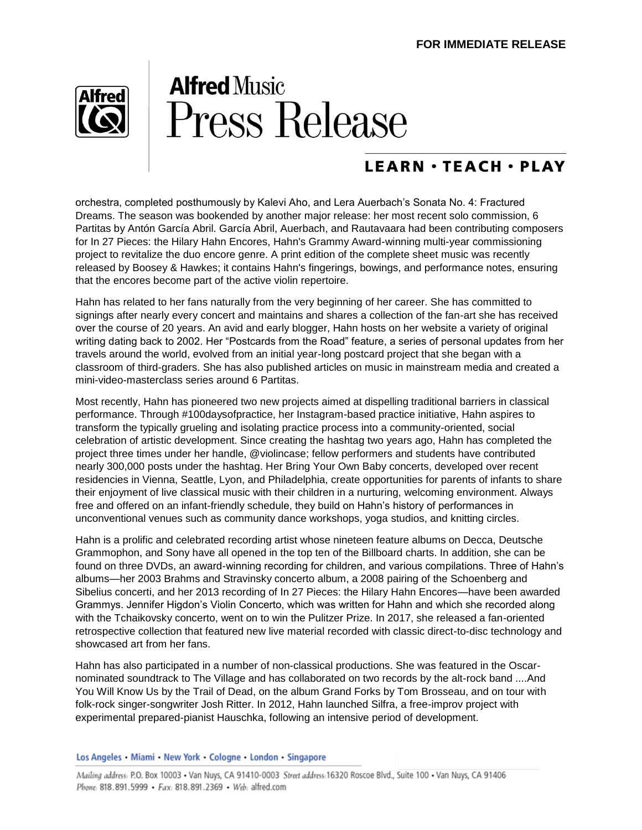

# **Alfred Music Press Release**

### **LEARN · TEACH · PLAY**

orchestra, completed posthumously by Kalevi Aho, and Lera Auerbach's Sonata No. 4: Fractured Dreams. The season was bookended by another major release: her most recent solo commission, 6 Partitas by Antón García Abril. García Abril, Auerbach, and Rautavaara had been contributing composers for In 27 Pieces: the Hilary Hahn Encores, Hahn's Grammy Award-winning multi-year commissioning project to revitalize the duo encore genre. A print edition of the complete sheet music was recently released by Boosey & Hawkes; it contains Hahn's fingerings, bowings, and performance notes, ensuring that the encores become part of the active violin repertoire.

Hahn has related to her fans naturally from the very beginning of her career. She has committed to signings after nearly every concert and maintains and shares a collection of the fan-art she has received over the course of 20 years. An avid and early blogger, Hahn hosts on her website a variety of original writing dating back to 2002. Her "Postcards from the Road" feature, a series of personal updates from her travels around the world, evolved from an initial year-long postcard project that she began with a classroom of third-graders. She has also published articles on music in mainstream media and created a mini-video-masterclass series around 6 Partitas.

Most recently, Hahn has pioneered two new projects aimed at dispelling traditional barriers in classical performance. Through #100daysofpractice, her Instagram-based practice initiative, Hahn aspires to transform the typically grueling and isolating practice process into a community-oriented, social celebration of artistic development. Since creating the hashtag two years ago, Hahn has completed the project three times under her handle, @violincase; fellow performers and students have contributed nearly 300,000 posts under the hashtag. Her Bring Your Own Baby concerts, developed over recent residencies in Vienna, Seattle, Lyon, and Philadelphia, create opportunities for parents of infants to share their enjoyment of live classical music with their children in a nurturing, welcoming environment. Always free and offered on an infant-friendly schedule, they build on Hahn's history of performances in unconventional venues such as community dance workshops, yoga studios, and knitting circles.

Hahn is a prolific and celebrated recording artist whose nineteen feature albums on Decca, Deutsche Grammophon, and Sony have all opened in the top ten of the Billboard charts. In addition, she can be found on three DVDs, an award-winning recording for children, and various compilations. Three of Hahn's albums—her 2003 Brahms and Stravinsky concerto album, a 2008 pairing of the Schoenberg and Sibelius concerti, and her 2013 recording of In 27 Pieces: the Hilary Hahn Encores—have been awarded Grammys. Jennifer Higdon's Violin Concerto, which was written for Hahn and which she recorded along with the Tchaikovsky concerto, went on to win the Pulitzer Prize. In 2017, she released a fan-oriented retrospective collection that featured new live material recorded with classic direct-to-disc technology and showcased art from her fans.

Hahn has also participated in a number of non-classical productions. She was featured in the Oscarnominated soundtrack to The Village and has collaborated on two records by the alt-rock band ....And You Will Know Us by the Trail of Dead, on the album Grand Forks by Tom Brosseau, and on tour with folk-rock singer-songwriter Josh Ritter. In 2012, Hahn launched Silfra, a free-improv project with experimental prepared-pianist Hauschka, following an intensive period of development.

Los Angeles • Miami • New York • Cologne • London • Singapore